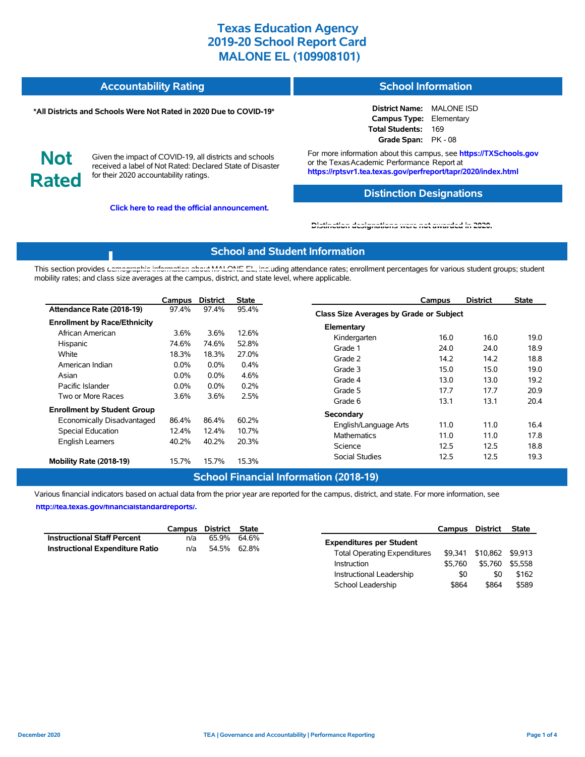#### **Accountability Rating School Information**

#### **\*All Districts and Schools Were Not Rated in 2020 Due to COVID-19\***

**District Name:** MALONE ISD **Campus Type:** Elementary **Total Students:** 169 **Grade Span:** PK - 08

**Not Rated**

Given the impact of COVID-19, all districts and schools received a label of Not Rated: Declared State of Disaster for their 2020 accountability ratings.

**Click here to read the official announcement.**

For more information about this campus, see **https://TXSchools.gov** or the Texas Academic Performance Report at **https://rptsvr1.tea.texas.gov/perfreport/tapr/2020/index.html**

## **Distinction Designations**

School Leadership  $$864$  \$864 \$589

#### **[Distinction designations were not awarded in 2020.](https://rptsvr1.tea.texas.gov/perfreport/tapr/2020/index.html)**

### **School and Student Information**

This section provides [demographic information about MALONE EL, incl](https://tea.texas.gov/about-tea/news-and-multimedia/correspondence/taa-letters/every-student-succeeds-act-essa-waiver-approval-2020-state-academic-accountability)uding attendance rates; enrollment percentages for various student groups; student mobility rates; and class size averages at the campus, district, and state level, where applicable.

|                                     | Campus  | <b>District</b> | <b>State</b> | <b>District</b><br>Campus               | <b>State</b> |
|-------------------------------------|---------|-----------------|--------------|-----------------------------------------|--------------|
| Attendance Rate (2018-19)           | 97.4%   | 97.4%           | 95.4%        | Class Size Averages by Grade or Subject |              |
| <b>Enrollment by Race/Ethnicity</b> |         |                 |              | Elementary                              |              |
| African American                    | 3.6%    | 3.6%            | 12.6%        | Kindergarten<br>16.0<br>16.0            | 19.0         |
| Hispanic                            | 74.6%   | 74.6%           | 52.8%        | 24.0<br>24.0<br>Grade 1                 | 18.9         |
| White                               | 18.3%   | 18.3%           | 27.0%        | Grade 2                                 |              |
| American Indian                     | 0.0%    | $0.0\%$         | 0.4%         | 14.2<br>14.2                            | 18.8         |
| Asian                               | $0.0\%$ | $0.0\%$         | 4.6%         | 15.0<br>15.0<br>Grade 3                 | 19.0         |
| Pacific Islander                    | $0.0\%$ | 0.0%            | 0.2%         | 13.0<br>13.0<br>Grade 4                 | 19.2         |
| Two or More Races                   | 3.6%    | 3.6%            | 2.5%         | 17.7<br>17.7<br>Grade 5                 | 20.9         |
|                                     |         |                 |              | 13.1<br>13.1<br>Grade 6                 | 20.4         |
| <b>Enrollment by Student Group</b>  |         |                 |              | Secondary                               |              |
| Economically Disadvantaged          | 86.4%   | 86.4%           | 60.2%        | 11.0<br>11.0<br>English/Language Arts   | 16.4         |
| Special Education                   | 12.4%   | 12.4%           | 10.7%        | 11.0<br>11.0<br><b>Mathematics</b>      | 17.8         |
| <b>English Learners</b>             | 40.2%   | 40.2%           | 20.3%        | 12.5<br>12.5                            | 18.8         |
|                                     |         |                 |              | Science                                 |              |
| Mobility Rate (2018-19)             | 15.7%   | 15.7%           | 15.3%        | 12.5<br>12.5<br>Social Studies          | 19.3         |

### **School Financial Information (2018-19)**

Various financial indicators based on actual data from the prior year are reported for the campus, district, and state. For more information, see

**[http://tea.texas.gov/financialstandardreports/.](http://tea.texas.gov/financialstandardreports/)**

|                                    | Campus | District | State       |                                     | Campus  | District         | <b>State</b> |
|------------------------------------|--------|----------|-------------|-------------------------------------|---------|------------------|--------------|
| <b>Instructional Staff Percent</b> | n/a    |          | 65.9% 64.6% | <b>Expenditures per Student</b>     |         |                  |              |
| Instructional Expenditure Ratio    | n/a    |          | 54.5% 62.8% | <b>Total Operating Expenditures</b> | \$9.341 | \$10,862 \$9.913 |              |
|                                    |        |          |             | Instruction                         | \$5.760 | \$5.760          | \$5.558      |
|                                    |        |          |             | Instructional Leadership            | \$0     | \$0              | \$162        |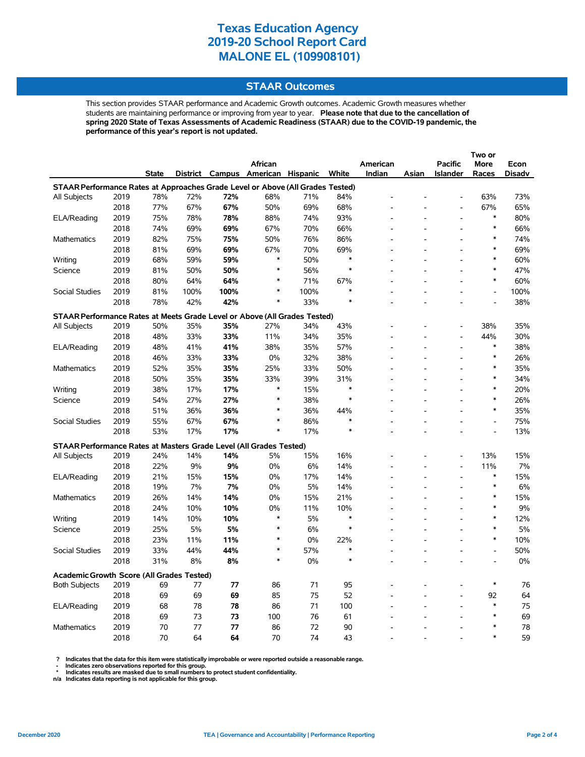### **STAAR Outcomes**

This section provides STAAR performance and Academic Growth outcomes. Academic Growth measures whether students are maintaining performance or improving from year to year. **Please note that due to the cancellation of spring 2020 State of Texas Assessments of Academic Readiness (STAAR) due to the COVID-19 pandemic, the performance of this year's report is not updated.**

|                                                                                |      |              |      |      | African                           |      |        | American |       | Pacific                  | More                         | Econ          |
|--------------------------------------------------------------------------------|------|--------------|------|------|-----------------------------------|------|--------|----------|-------|--------------------------|------------------------------|---------------|
|                                                                                |      | <b>State</b> |      |      | District Campus American Hispanic |      | White  | Indian   | Asian | <b>Islander</b>          | Races                        | <b>Disady</b> |
| STAAR Performance Rates at Approaches Grade Level or Above (All Grades Tested) |      |              |      |      |                                   |      |        |          |       |                          |                              |               |
| All Subjects                                                                   | 2019 | 78%          | 72%  | 72%  | 68%                               | 71%  | 84%    |          |       |                          | 63%                          | 73%           |
|                                                                                | 2018 | 77%          | 67%  | 67%  | 50%                               | 69%  | 68%    |          |       | $\overline{\phantom{a}}$ | 67%                          | 65%           |
| ELA/Reading                                                                    | 2019 | 75%          | 78%  | 78%  | 88%                               | 74%  | 93%    |          |       | $\overline{\phantom{a}}$ | $\ast$                       | 80%           |
|                                                                                | 2018 | 74%          | 69%  | 69%  | 67%                               | 70%  | 66%    |          |       |                          | $\ast$                       | 66%           |
| <b>Mathematics</b>                                                             | 2019 | 82%          | 75%  | 75%  | 50%                               | 76%  | 86%    |          |       | $\overline{a}$           | $\ast$                       | 74%           |
|                                                                                | 2018 | 81%          | 69%  | 69%  | 67%                               | 70%  | 69%    |          |       |                          | $\ast$                       | 69%           |
| Writing                                                                        | 2019 | 68%          | 59%  | 59%  | $\ast$                            | 50%  | $\ast$ |          |       |                          | $\ast$                       | 60%           |
| Science                                                                        | 2019 | 81%          | 50%  | 50%  | $\ast$                            | 56%  | $\ast$ |          |       |                          | $\ast$                       | 47%           |
|                                                                                | 2018 | 80%          | 64%  | 64%  | $\ast$                            | 71%  | 67%    |          |       |                          | $\ast$                       | 60%           |
| <b>Social Studies</b>                                                          | 2019 | 81%          | 100% | 100% | $\ast$                            | 100% | $\ast$ |          |       | $\overline{a}$           | $\qquad \qquad \blacksquare$ | 100%          |
|                                                                                | 2018 | 78%          | 42%  | 42%  | $\ast$                            | 33%  | 冰      |          |       |                          | $\overline{a}$               | 38%           |
| STAAR Performance Rates at Meets Grade Level or Above (All Grades Tested)      |      |              |      |      |                                   |      |        |          |       |                          |                              |               |
| All Subjects                                                                   | 2019 | 50%          | 35%  | 35%  | 27%                               | 34%  | 43%    |          |       |                          | 38%                          | 35%           |
|                                                                                | 2018 | 48%          | 33%  | 33%  | 11%                               | 34%  | 35%    |          |       | $\overline{a}$           | 44%                          | 30%           |
| ELA/Reading                                                                    | 2019 | 48%          | 41%  | 41%  | 38%                               | 35%  | 57%    |          |       | $\overline{\phantom{a}}$ | $\ast$                       | 38%           |
|                                                                                | 2018 | 46%          | 33%  | 33%  | 0%                                | 32%  | 38%    |          |       | $\overline{\phantom{a}}$ | $\ast$                       | 26%           |
| Mathematics                                                                    | 2019 | 52%          | 35%  | 35%  | 25%                               | 33%  | 50%    |          |       |                          | $\ast$                       | 35%           |
|                                                                                | 2018 | 50%          | 35%  | 35%  | 33%                               | 39%  | 31%    |          |       |                          | $\ast$                       | 34%           |
| Writing                                                                        | 2019 | 38%          | 17%  | 17%  | $\ast$                            | 15%  | $\ast$ |          |       |                          | $\ast$                       | 20%           |
| Science                                                                        | 2019 | 54%          | 27%  | 27%  | $\ast$                            | 38%  | $\ast$ |          |       |                          | $\ast$                       | 26%           |
|                                                                                | 2018 | 51%          | 36%  | 36%  | $\ast$                            | 36%  | 44%    |          |       | $\overline{\phantom{a}}$ | $\ast$                       | 35%           |
| Social Studies                                                                 | 2019 | 55%          | 67%  | 67%  | ∗                                 | 86%  | $\ast$ |          |       |                          | $\overline{a}$               | 75%           |
|                                                                                | 2018 | 53%          | 17%  | 17%  | $\ast$                            | 17%  | $\ast$ |          |       |                          | L,                           | 13%           |
|                                                                                |      |              |      |      |                                   |      |        |          |       |                          |                              |               |
| STAAR Performance Rates at Masters Grade Level (All Grades Tested)             |      |              |      |      |                                   |      |        |          |       | L,                       |                              |               |
| All Subjects                                                                   | 2019 | 24%          | 14%  | 14%  | 5%                                | 15%  | 16%    |          |       | $\overline{\phantom{a}}$ | 13%                          | 15%           |
|                                                                                | 2018 | 22%          | 9%   | 9%   | 0%                                | 6%   | 14%    |          |       |                          | 11%<br>$\ast$                | 7%            |
| ELA/Reading                                                                    | 2019 | 21%          | 15%  | 15%  | 0%                                | 17%  | 14%    |          |       | $\overline{\phantom{a}}$ | ∗                            | 15%           |
|                                                                                | 2018 | 19%          | 7%   | 7%   | 0%                                | 5%   | 14%    |          |       |                          | $\ast$                       | 6%            |
| <b>Mathematics</b>                                                             | 2019 | 26%          | 14%  | 14%  | $0\%$                             | 15%  | 21%    |          |       |                          | $\ast$                       | 15%           |
|                                                                                | 2018 | 24%          | 10%  | 10%  | 0%                                | 11%  | 10%    |          |       |                          |                              | 9%            |
| Writing                                                                        | 2019 | 14%          | 10%  | 10%  | *                                 | 5%   | $\ast$ |          |       |                          | $\ast$                       | 12%           |
| Science                                                                        | 2019 | 25%          | 5%   | 5%   | $\ast$                            | 6%   | $\ast$ |          |       |                          | $\ast$                       | 5%            |
|                                                                                | 2018 | 23%          | 11%  | 11%  | ∗                                 | 0%   | 22%    |          |       |                          | $\ast$                       | 10%           |
| Social Studies                                                                 | 2019 | 33%          | 44%  | 44%  | $\ast$                            | 57%  | $\ast$ |          |       |                          | $\blacksquare$               | 50%           |
|                                                                                | 2018 | 31%          | 8%   | 8%   | $\ast$                            | 0%   | $\ast$ |          |       |                          | $\overline{a}$               | 0%            |
| Academic Growth Score (All Grades Tested)                                      |      |              |      |      |                                   |      |        |          |       |                          |                              |               |
| <b>Both Subjects</b>                                                           | 2019 | 69           | 77   | 77   | 86                                | 71   | 95     |          |       |                          | $\ast$                       | 76            |
|                                                                                | 2018 | 69           | 69   | 69   | 85                                | 75   | 52     |          |       |                          | 92                           | 64            |
| <b>ELA/Reading</b>                                                             | 2019 | 68           | 78   | 78   | 86                                | 71   | 100    |          |       |                          | $\ast$                       | 75            |
|                                                                                | 2018 | 69           | 73   | 73   | 100                               | 76   | 61     |          |       |                          | $\ast$                       | 69            |
| <b>Mathematics</b>                                                             | 2019 | 70           | 77   | 77   | 86                                | 72   | 90     |          |       |                          | $\ast$                       | 78            |
|                                                                                | 2018 | 70           | 64   | 64   | 70                                | 74   | 43     |          |       |                          | $\ast$                       | 59            |

 **? Indicates that the data for this item were statistically improbable or were reported outside a reasonable range.**

- Indicates zero observations reported for this group.<br>\* Indicates results are masked due to small numbers to protect student confidentiality.<br>n/a Indicates data reporting is not applicable for this group.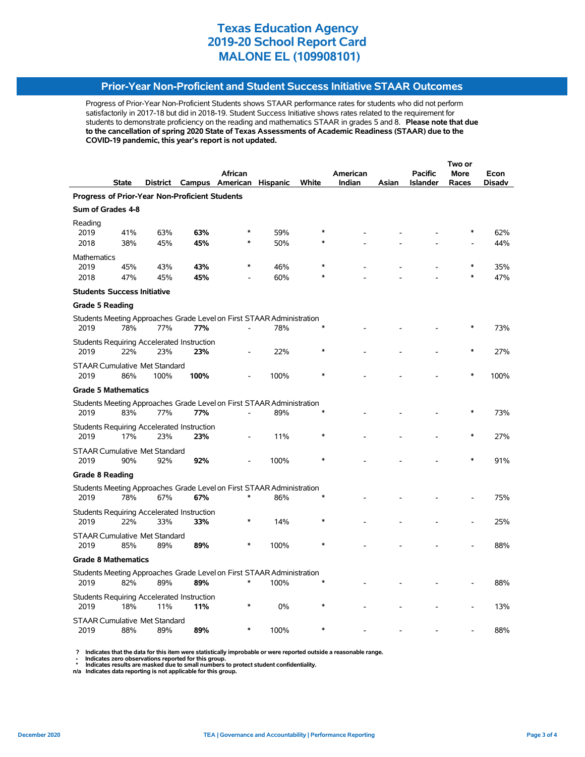## **Prior-Year Non-Proficient and Student Success Initiative STAAR Outcomes**

Progress of Prior-Year Non-Proficient Students shows STAAR performance rates for students who did not perform satisfactorily in 2017-18 but did in 2018-19. Student Success Initiative shows rates related to the requirement for students to demonstrate proficiency on the reading and mathematics STAAR in grades 5 and 8. **Please note that due to the cancellation of spring 2020 State of Texas Assessments of Academic Readiness (STAAR) due to the COVID-19 pandemic, this year's report is not updated.**

|                                                                                                     |              |          |      | African                  |      |        | American |       | <b>Pacific</b>  | <b>More</b> | Econ   |
|-----------------------------------------------------------------------------------------------------|--------------|----------|------|--------------------------|------|--------|----------|-------|-----------------|-------------|--------|
|                                                                                                     | <b>State</b> | District |      | Campus American Hispanic |      | White  | Indian   | Asian | <b>Islander</b> | Races       | Disadv |
| Progress of Prior-Year Non-Proficient Students                                                      |              |          |      |                          |      |        |          |       |                 |             |        |
| Sum of Grades 4-8                                                                                   |              |          |      |                          |      |        |          |       |                 |             |        |
| Reading                                                                                             |              |          |      |                          |      |        |          |       |                 |             |        |
| 2019                                                                                                | 41%          | 63%      | 63%  |                          | 59%  |        |          |       |                 |             | 62%    |
| 2018                                                                                                | 38%          | 45%      | 45%  |                          | 50%  |        |          |       |                 |             | 44%    |
| <b>Mathematics</b>                                                                                  |              |          |      |                          |      |        |          |       |                 |             |        |
| 2019                                                                                                | 45%          | 43%      | 43%  |                          | 46%  |        |          |       |                 |             | 35%    |
| 2018                                                                                                | 47%          | 45%      | 45%  |                          | 60%  |        |          |       |                 | $\ast$      | 47%    |
| <b>Students Success Initiative</b>                                                                  |              |          |      |                          |      |        |          |       |                 |             |        |
| <b>Grade 5 Reading</b>                                                                              |              |          |      |                          |      |        |          |       |                 |             |        |
| Students Meeting Approaches Grade Level on First STAAR Administration                               |              |          |      |                          |      |        |          |       |                 |             |        |
| 2019                                                                                                | 78%          | 77%      | 77%  |                          | 78%  |        |          |       |                 |             | 73%    |
| Students Requiring Accelerated Instruction                                                          |              |          |      |                          |      |        |          |       |                 |             |        |
| 2019                                                                                                | 22%          | 23%      | 23%  |                          | 22%  |        |          |       |                 |             | 27%    |
| <b>STAAR Cumulative Met Standard</b>                                                                |              |          |      |                          |      |        |          |       |                 |             |        |
| 2019                                                                                                | 86%          | 100%     | 100% |                          | 100% |        |          |       |                 |             | 100%   |
|                                                                                                     |              |          |      |                          |      |        |          |       |                 |             |        |
| <b>Grade 5 Mathematics</b><br>Students Meeting Approaches Grade Level on First STAAR Administration |              |          |      |                          |      |        |          |       |                 |             |        |
| 2019                                                                                                | 83%          | 77%      | 77%  |                          | 89%  |        |          |       |                 |             | 73%    |
|                                                                                                     |              |          |      |                          |      |        |          |       |                 |             |        |
| <b>Students Requiring Accelerated Instruction</b>                                                   |              |          |      |                          |      |        |          |       |                 | $\ast$      |        |
| 2019                                                                                                | 17%          | 23%      | 23%  |                          | 11%  |        |          |       |                 |             | 27%    |
| <b>STAAR Cumulative Met Standard</b>                                                                |              |          |      |                          |      |        |          |       |                 |             |        |
| 2019                                                                                                | 90%          | 92%      | 92%  |                          | 100% |        |          |       |                 |             | 91%    |
| <b>Grade 8 Reading</b>                                                                              |              |          |      |                          |      |        |          |       |                 |             |        |
| Students Meeting Approaches Grade Level on First STAAR Administration                               |              |          |      |                          |      |        |          |       |                 |             |        |
| 2019                                                                                                | 78%          | 67%      | 67%  |                          | 86%  |        |          |       |                 |             | 75%    |
| Students Requiring Accelerated Instruction                                                          |              |          |      |                          |      |        |          |       |                 |             |        |
| 2019                                                                                                | 22%          | 33%      | 33%  | $\ast$                   | 14%  | $\ast$ |          |       |                 |             | 25%    |
| <b>STAAR Cumulative Met Standard</b>                                                                |              |          |      |                          |      |        |          |       |                 |             |        |
| 2019                                                                                                | 85%          | 89%      | 89%  | $\ast$                   | 100% |        |          |       |                 |             | 88%    |
| <b>Grade 8 Mathematics</b>                                                                          |              |          |      |                          |      |        |          |       |                 |             |        |
| Students Meeting Approaches Grade Level on First STAAR Administration                               |              |          |      |                          |      |        |          |       |                 |             |        |
| 2019                                                                                                | 82%          | 89%      | 89%  | *                        | 100% |        |          |       |                 |             | 88%    |
| Students Requiring Accelerated Instruction                                                          |              |          |      |                          |      |        |          |       |                 |             |        |
| 2019                                                                                                | 18%          | 11%      | 11%  |                          | 0%   |        |          |       |                 |             | 13%    |
|                                                                                                     |              |          |      |                          |      |        |          |       |                 |             |        |
| <b>STAAR Cumulative Met Standard</b><br>2019                                                        | 88%          | 89%      | 89%  | $\ast$                   | 100% |        |          |       |                 |             | 88%    |

 **? Indicates that the data for this item were statistically improbable or were reported outside a reasonable range.**

 **- Indicates zero observations reported for this group.**

 **\* Indicates results are masked due to small numbers to protect student confidentiality. n/a Indicates data reporting is not applicable for this group.**